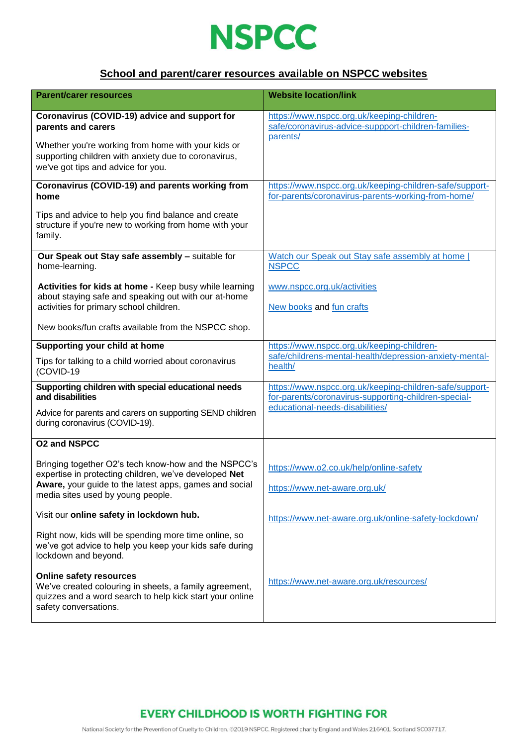

### **School and parent/carer resources available on NSPCC websites**

| <b>Parent/carer resources</b>                                                                                                                                                 | <b>Website location/link</b>                                                                                    |
|-------------------------------------------------------------------------------------------------------------------------------------------------------------------------------|-----------------------------------------------------------------------------------------------------------------|
| Coronavirus (COVID-19) advice and support for<br>parents and carers                                                                                                           | https://www.nspcc.org.uk/keeping-children-<br>safe/coronavirus-advice-suppport-children-families-<br>parents/   |
| Whether you're working from home with your kids or<br>supporting children with anxiety due to coronavirus,<br>we've got tips and advice for you.                              |                                                                                                                 |
| Coronavirus (COVID-19) and parents working from<br>home                                                                                                                       | https://www.nspcc.org.uk/keeping-children-safe/support-<br>for-parents/coronavirus-parents-working-from-home/   |
| Tips and advice to help you find balance and create<br>structure if you're new to working from home with your<br>family.                                                      |                                                                                                                 |
| Our Speak out Stay safe assembly - suitable for<br>home-learning.                                                                                                             | Watch our Speak out Stay safe assembly at home<br><b>NSPCC</b>                                                  |
| Activities for kids at home - Keep busy while learning                                                                                                                        | www.nspcc.org.uk/activities                                                                                     |
| about staying safe and speaking out with our at-home<br>activities for primary school children.                                                                               | New books and fun crafts                                                                                        |
| New books/fun crafts available from the NSPCC shop.                                                                                                                           |                                                                                                                 |
| Supporting your child at home                                                                                                                                                 | https://www.nspcc.org.uk/keeping-children-                                                                      |
| Tips for talking to a child worried about coronavirus<br>(COVID-19                                                                                                            | safe/childrens-mental-health/depression-anxiety-mental-<br>health/                                              |
| Supporting children with special educational needs<br>and disabilities                                                                                                        | https://www.nspcc.org.uk/keeping-children-safe/support-<br>for-parents/coronavirus-supporting-children-special- |
| Advice for parents and carers on supporting SEND children<br>during coronavirus (COVID-19).                                                                                   | educational-needs-disabilities/                                                                                 |
| <b>O2 and NSPCC</b>                                                                                                                                                           |                                                                                                                 |
| Bringing together O2's tech know-how and the NSPCC's<br>expertise in protecting children, we've developed Net                                                                 | https://www.o2.co.uk/help/online-safety                                                                         |
| Aware, your guide to the latest apps, games and social<br>media sites used by young people.                                                                                   | https://www.net-aware.org.uk/                                                                                   |
| Visit our online safety in lockdown hub.                                                                                                                                      | https://www.net-aware.org.uk/online-safety-lockdown/                                                            |
| Right now, kids will be spending more time online, so<br>we've got advice to help you keep your kids safe during<br>lockdown and beyond.                                      |                                                                                                                 |
| <b>Online safety resources</b><br>We've created colouring in sheets, a family agreement,<br>quizzes and a word search to help kick start your online<br>safety conversations. | https://www.net-aware.org.uk/resources/                                                                         |

# **EVERY CHILDHOOD IS WORTH FIGHTING FOR**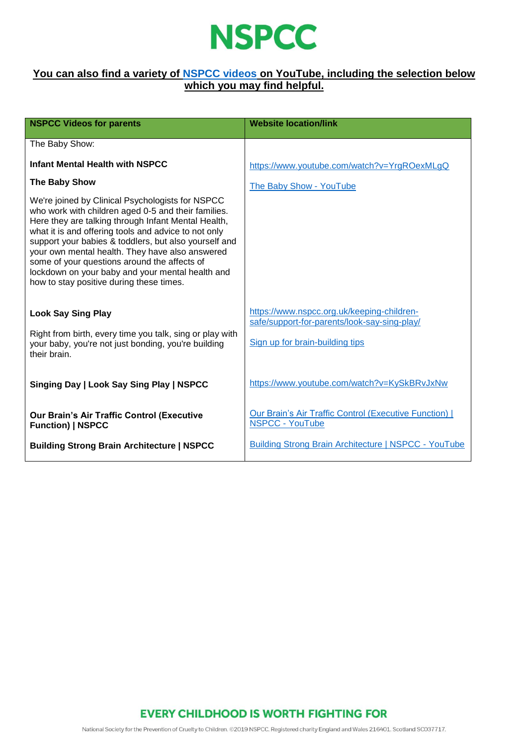

#### **You can also find a variety of [NSPCC videos](https://www.youtube.com/user/nspcc) on YouTube, including the selection below which you may find helpful.**

| <b>NSPCC Videos for parents</b>                                                                                                                                                                                                                                                                                                                                                                                                                                                    | <b>Website location/link</b>                                                               |
|------------------------------------------------------------------------------------------------------------------------------------------------------------------------------------------------------------------------------------------------------------------------------------------------------------------------------------------------------------------------------------------------------------------------------------------------------------------------------------|--------------------------------------------------------------------------------------------|
| The Baby Show:                                                                                                                                                                                                                                                                                                                                                                                                                                                                     |                                                                                            |
| <b>Infant Mental Health with NSPCC</b>                                                                                                                                                                                                                                                                                                                                                                                                                                             | https://www.youtube.com/watch?v=YrgROexMLgQ                                                |
| <b>The Baby Show</b>                                                                                                                                                                                                                                                                                                                                                                                                                                                               | The Baby Show - YouTube                                                                    |
| We're joined by Clinical Psychologists for NSPCC<br>who work with children aged 0-5 and their families.<br>Here they are talking through Infant Mental Health,<br>what it is and offering tools and advice to not only<br>support your babies & toddlers, but also yourself and<br>your own mental health. They have also answered<br>some of your questions around the affects of<br>lockdown on your baby and your mental health and<br>how to stay positive during these times. |                                                                                            |
| <b>Look Say Sing Play</b>                                                                                                                                                                                                                                                                                                                                                                                                                                                          | https://www.nspcc.org.uk/keeping-children-<br>safe/support-for-parents/look-say-sing-play/ |
| Right from birth, every time you talk, sing or play with<br>your baby, you're not just bonding, you're building<br>their brain.                                                                                                                                                                                                                                                                                                                                                    | Sign up for brain-building tips                                                            |
| Singing Day   Look Say Sing Play   NSPCC                                                                                                                                                                                                                                                                                                                                                                                                                                           | https://www.youtube.com/watch?v=KySkBRvJxNw                                                |
| <b>Our Brain's Air Traffic Control (Executive</b><br><b>Function)   NSPCC</b>                                                                                                                                                                                                                                                                                                                                                                                                      | Our Brain's Air Traffic Control (Executive Function)  <br><b>NSPCC - YouTube</b>           |
| <b>Building Strong Brain Architecture   NSPCC</b>                                                                                                                                                                                                                                                                                                                                                                                                                                  | <b>Building Strong Brain Architecture   NSPCC - YouTube</b>                                |

### **EVERY CHILDHOOD IS WORTH FIGHTING FOR**